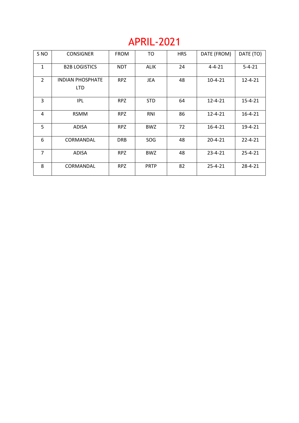# APRIL-2021

| S <sub>NO</sub> | <b>CONSIGNER</b>                | <b>FROM</b> | TO          | <b>HRS</b> | DATE (FROM)   | DATE (TO)     |
|-----------------|---------------------------------|-------------|-------------|------------|---------------|---------------|
| $\mathbf{1}$    | <b>B2B LOGISTICS</b>            | <b>NDT</b>  | <b>ALIK</b> | 24         | $4 - 4 - 21$  | $5 - 4 - 21$  |
| $\overline{2}$  | <b>INDIAN PHOSPHATE</b><br>LTD. | <b>RPZ</b>  | <b>JEA</b>  | 48         | $10 - 4 - 21$ | $12 - 4 - 21$ |
| 3               | <b>IPL</b>                      | <b>RPZ</b>  | <b>STD</b>  | 64         | $12 - 4 - 21$ | $15 - 4 - 21$ |
| 4               | <b>RSMM</b>                     | <b>RPZ</b>  | RNI         | 86         | $12 - 4 - 21$ | $16 - 4 - 21$ |
| 5               | <b>ADISA</b>                    | <b>RPZ</b>  | <b>BWZ</b>  | 72         | $16 - 4 - 21$ | 19-4-21       |
| 6               | CORMANDAL                       | <b>DRB</b>  | <b>SOG</b>  | 48         | $20 - 4 - 21$ | $22 - 4 - 21$ |
| $\overline{7}$  | <b>ADISA</b>                    | <b>RPZ</b>  | <b>BWZ</b>  | 48         | $23 - 4 - 21$ | $25 - 4 - 21$ |
| 8               | CORMANDAL                       | <b>RPZ</b>  | <b>PRTP</b> | 82         | $25 - 4 - 21$ | 28-4-21       |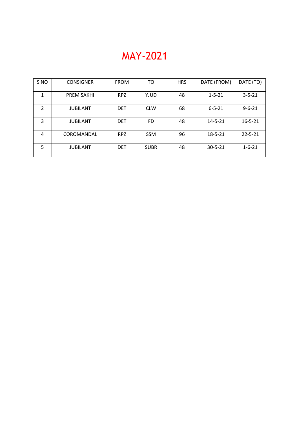# MAY-2021

| S <sub>NO</sub> | <b>CONSIGNER</b>  | <b>FROM</b> | TO          | <b>HRS</b> | DATE (FROM)   | DATE (TO)     |
|-----------------|-------------------|-------------|-------------|------------|---------------|---------------|
| $\mathbf{1}$    | <b>PREM SAKHI</b> | <b>RPZ</b>  | YJUD        | 48         | $1 - 5 - 21$  | $3 - 5 - 21$  |
| 2               | <b>JUBILANT</b>   | <b>DET</b>  | <b>CLW</b>  | 68         | $6 - 5 - 21$  | $9 - 6 - 21$  |
| 3               | <b>JUBILANT</b>   | <b>DET</b>  | FD.         | 48         | $14 - 5 - 21$ | $16 - 5 - 21$ |
| 4               | COROMANDAL        | RPZ         | <b>SSM</b>  | 96         | $18 - 5 - 21$ | $22 - 5 - 21$ |
| 5               | <b>JUBILANT</b>   | <b>DET</b>  | <b>SUBR</b> | 48         | $30 - 5 - 21$ | $1 - 6 - 21$  |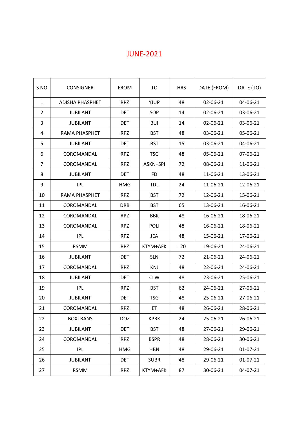## JUNE-2021

| S <sub>NO</sub> | <b>CONSIGNER</b>     | <b>FROM</b> | TO          | <b>HRS</b> | DATE (FROM) | DATE (TO) |
|-----------------|----------------------|-------------|-------------|------------|-------------|-----------|
| $\mathbf{1}$    | ADISHA PHASPHET      | <b>RPZ</b>  | YJUP        | 48         | 02-06-21    | 04-06-21  |
| $\overline{2}$  | <b>JUBILANT</b>      | <b>DET</b>  | SOP         | 14         | 02-06-21    | 03-06-21  |
| 3               | <b>JUBILANT</b>      | <b>DET</b>  | <b>BUI</b>  | 14         | 02-06-21    | 03-06-21  |
| 4               | <b>RAMA PHASPHET</b> | <b>RPZ</b>  | <b>BST</b>  | 48         | 03-06-21    | 05-06-21  |
| 5               | <b>JUBILANT</b>      | <b>DET</b>  | <b>BST</b>  | 15         | 03-06-21    | 04-06-21  |
| 6               | <b>COROMANDAL</b>    | <b>RPZ</b>  | <b>TSG</b>  | 48         | 05-06-21    | 07-06-21  |
| $\overline{7}$  | COROMANDAL           | <b>RPZ</b>  | ASKN+SPI    | 72         | 08-06-21    | 11-06-21  |
| 8               | <b>JUBILANT</b>      | <b>DET</b>  | <b>FD</b>   | 48         | 11-06-21    | 13-06-21  |
| 9               | <b>IPL</b>           | HMG         | <b>TDL</b>  | 24         | 11-06-21    | 12-06-21  |
| 10              | RAMA PHASPHET        | <b>RPZ</b>  | <b>BST</b>  | 72         | 12-06-21    | 15-06-21  |
| 11              | COROMANDAL           | <b>DRB</b>  | <b>BST</b>  | 65         | 13-06-21    | 16-06-21  |
| 12              | COROMANDAL           | <b>RPZ</b>  | <b>BBK</b>  | 48         | 16-06-21    | 18-06-21  |
| 13              | COROMANDAL           | <b>RPZ</b>  | <b>POLI</b> | 48         | 16-06-21    | 18-06-21  |
| 14              | <b>IPL</b>           | <b>RPZ</b>  | <b>JEA</b>  | 48         | 15-06-21    | 17-06-21  |
| 15              | <b>RSMM</b>          | <b>RPZ</b>  | KTYM+AFK    | 120        | 19-06-21    | 24-06-21  |
| 16              | <b>JUBILANT</b>      | <b>DET</b>  | <b>SLN</b>  | 72         | 21-06-21    | 24-06-21  |
| 17              | COROMANDAL           | <b>RPZ</b>  | <b>KNJ</b>  | 48         | 22-06-21    | 24-06-21  |
| 18              | <b>JUBILANT</b>      | <b>DET</b>  | <b>CLW</b>  | 48         | 23-06-21    | 25-06-21  |
| 19              | <b>IPL</b>           | <b>RPZ</b>  | <b>BST</b>  | 62         | 24-06-21    | 27-06-21  |
| 20              | <b>JUBILANT</b>      | <b>DET</b>  | <b>TSG</b>  | 48         | 25-06-21    | 27-06-21  |
| 21              | COROMANDAL           | <b>RPZ</b>  | ET          | 48         | 26-06-21    | 28-06-21  |
| 22              | <b>BOXTRANS</b>      | <b>DOZ</b>  | <b>KPRK</b> | 24         | 25-06-21    | 26-06-21  |
| 23              | <b>JUBILANT</b>      | <b>DET</b>  | <b>BST</b>  | 48         | 27-06-21    | 29-06-21  |
| 24              | COROMANDAL           | <b>RPZ</b>  | <b>BSPR</b> | 48         | 28-06-21    | 30-06-21  |
| 25              | IPL                  | <b>HMG</b>  | <b>HBN</b>  | 48         | 29-06-21    | 01-07-21  |
| 26              | <b>JUBILANT</b>      | <b>DET</b>  | <b>SUBR</b> | 48         | 29-06-21    | 01-07-21  |
| 27              | <b>RSMM</b>          | <b>RPZ</b>  | KTYM+AFK    | 87         | 30-06-21    | 04-07-21  |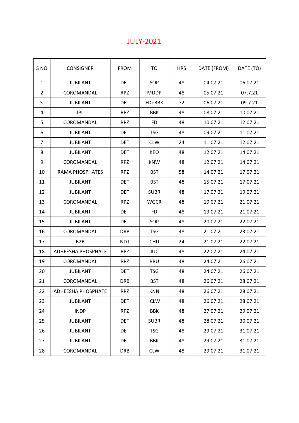#### JULY-2021

| S <sub>NO</sub> | <b>CONSIGNER</b>          | <b>FROM</b> | TO          | <b>HRS</b> | DATE (FROM) | DATE (TO) |
|-----------------|---------------------------|-------------|-------------|------------|-------------|-----------|
| $\mathbf{1}$    | <b>JUBILANT</b>           | <b>DET</b>  | SOP         | 48         | 04.07.21    | 06.07.21  |
| 2               | COROMANDAL                | <b>RPZ</b>  | <b>MDDP</b> | 48         | 05.07.21    | 07.7.21   |
| 3               | <b>JUBILANT</b>           | DET         | FD+BBK      | 72         | 06.07.21    | 09.7.21   |
| 4               | IPL                       | <b>RPZ</b>  | <b>BBK</b>  | 48         | 08.07.21    | 10.07.21  |
| 5               | COROMANDAL                | <b>RPZ</b>  | <b>FD</b>   | 48         | 10.07.21    | 12.07.21  |
| 6               | <b>JUBILANT</b>           | <b>DET</b>  | <b>TSG</b>  | 48         | 09.07.21    | 11.07.21  |
| 7               | <b>JUBILANT</b>           | <b>DET</b>  | <b>CLW</b>  | 24         | 11.07.21    | 12.07.21  |
| 8               | <b>JUBILANT</b>           | <b>DET</b>  | <b>KEQ</b>  | 48         | 12.07.21    | 14.07.21  |
| 9               | COROMANDAL                | <b>RPZ</b>  | <b>KNW</b>  | 48         | 12.07.21    | 14.07.21  |
| 10              | <b>RAMA PHOSPHATES</b>    | <b>RPZ</b>  | <b>BST</b>  | 58         | 14.07.21    | 17.07.21  |
| 11              | <b>JUBILANT</b>           | <b>DET</b>  | <b>BST</b>  | 48         | 15.07.21    | 17.07.21  |
| 12              | <b>JUBILANT</b>           | <b>DET</b>  | <b>SUBR</b> | 48         | 17.07.21    | 19.07.21  |
| 13              | COROMANDAL                | <b>RPZ</b>  | <b>WGCR</b> | 48         | 19.07.21    | 21.07.21  |
| 14              | <b>JUBILANT</b>           | <b>DET</b>  | <b>FD</b>   | 48         | 19.07.21    | 21.07.21  |
| 15              | <b>JUBILANT</b>           | <b>DET</b>  | SOP         | 48         | 20.07.21    | 22.07.21  |
| 16              | COROMANDAL                | <b>DRB</b>  | <b>TSG</b>  | 48         | 21.07.21    | 23.07.21  |
| 17              | B <sub>2</sub> B          | <b>NDT</b>  | <b>CHD</b>  | 24         | 21.07.21    | 22.07.21  |
| 18              | <b>ADHEESHA PHOSPHATE</b> | <b>RPZ</b>  | <b>JUC</b>  | 48         | 22.07.21    | 24.07.21  |
| 19              | COROMANDAL                | <b>RPZ</b>  | <b>RRU</b>  | 48         | 24.07.21    | 26.07.21  |
| 20              | <b>JUBILANT</b>           | <b>DET</b>  | <b>TSG</b>  | 48         | 24.07.21    | 26.07.21  |
| 21              | COROMANDAL                | <b>DRB</b>  | <b>BST</b>  | 48         | 26.07.21    | 28.07.21  |
| 22              | ADHEESHA PHOSPHATE        | <b>RPZ</b>  | <b>KNN</b>  | 48         | 26.07.21    | 28.07.21  |
| 23              | <b>JUBILANT</b>           | <b>DET</b>  | <b>CLW</b>  | 48         | 26.07.21    | 28.07.21  |
| 24              | <b>INDP</b>               | <b>RPZ</b>  | BBK         | 48         | 27.07.21    | 29.07.21  |
| 25              | <b>JUBILANT</b>           | <b>DET</b>  | <b>SUBR</b> | 48         | 28.07.21    | 30.07.21  |
| 26              | <b>JUBILANT</b>           | <b>DET</b>  | <b>TSG</b>  | 48         | 29.07.21    | 31.07.21  |
| 27              | <b>JUBILANT</b>           | <b>DET</b>  | BBK         | 48         | 29.07.21    | 31.07.21  |
| 28              | COROMANDAL                | <b>DRB</b>  | <b>CLW</b>  | 48         | 29.07.21    | 31.07.21  |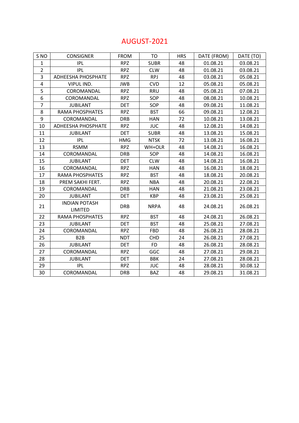#### AUGUST-2021

| S <sub>NO</sub> | <b>CONSIGNER</b>                | <b>FROM</b> | <b>TO</b>   | <b>HRS</b> | DATE (FROM) | DATE (TO) |
|-----------------|---------------------------------|-------------|-------------|------------|-------------|-----------|
| $\mathbf{1}$    | <b>IPL</b>                      | <b>RPZ</b>  | <b>SUBR</b> | 48         | 01.08.21    | 03.08.21  |
| $\overline{2}$  | <b>IPL</b>                      | <b>RPZ</b>  | <b>CLW</b>  | 48         | 01.08.21    | 03.08.21  |
| 3               | ADHEESHA PHOSPHATE              | <b>RPZ</b>  | <b>RPJ</b>  | 48         | 03.08.21    | 05.08.21  |
| $\overline{4}$  | VIPUL IND.                      | <b>JWB</b>  | <b>CVD</b>  | 12         | 05.08.21    | 05.08.21  |
| 5               | COROMANDAL                      | <b>RPZ</b>  | <b>RRU</b>  | 48         | 05.08.21    | 07.08.21  |
| 6               | COROMANDAL                      | <b>RPZ</b>  | SOP         | 48         | 08.08.21    | 10.08.21  |
| $\overline{7}$  | <b>JUBILANT</b>                 | <b>DET</b>  | SOP         | 48         | 09.08.21    | 11.08.21  |
| 8               | <b>RAMA PHOSPHATES</b>          | <b>RPZ</b>  | <b>BST</b>  | 66         | 09.08.21    | 12.08.21  |
| 9               | COROMANDAL                      | <b>DRB</b>  | <b>HAN</b>  | 72         | 10.08.21    | 13.08.21  |
| 10              | ADHEESHA PHOSPHATE              | <b>RPZ</b>  | <b>JUC</b>  | 48         | 12.08.21    | 14.08.21  |
| 11              | <b>JUBILANT</b>                 | <b>DET</b>  | <b>SUBR</b> | 48         | 13.08.21    | 15.08.21  |
| 12              | <b>IPL</b>                      | <b>HMG</b>  | <b>NTSK</b> | 72         | 13.08.21    | 16.08.21  |
| 13              | <b>RSMM</b>                     | <b>RPZ</b>  | WH+OLR      | 48         | 14.08.21    | 16.08.21  |
| 14              | COROMANDAL                      | <b>DRB</b>  | SOP         | 48         | 14.08.21    | 16.08.21  |
| 15              | <b>JUBILANT</b>                 | <b>DET</b>  | <b>CLW</b>  | 48         | 14.08.21    | 16.08.21  |
| 16              | COROMANDAL                      | <b>RPZ</b>  | <b>HAN</b>  | 48         | 16.08.21    | 18.08.21  |
| 17              | <b>RAMA PHOSPHATES</b>          | <b>RPZ</b>  | <b>BST</b>  | 48         | 18.08.21    | 20.08.21  |
| 18              | PREM SAKHI FERT.                | <b>RPZ</b>  | <b>NBA</b>  | 48         | 20.08.21    | 22.08.21  |
| 19              | COROMANDAL                      | <b>DRB</b>  | <b>HAN</b>  | 48         | 21.08.21    | 23.08.21  |
| 20              | <b>JUBILANT</b>                 | <b>DET</b>  | <b>KBP</b>  | 48         | 23.08.21    | 25.08.21  |
| 21              | <b>INDIAN POTASH</b><br>LIMITED | <b>DRB</b>  | <b>NRPA</b> | 48         | 24.08.21    | 26.08.21  |
| 22              | <b>RAMA PHOSPHATES</b>          | <b>RPZ</b>  | <b>BST</b>  | 48         | 24.08.21    | 26.08.21  |
| 23              | <b>JUBILANT</b>                 | <b>DET</b>  | <b>BST</b>  | 48         | 25.08.21    | 27.08.21  |
| 24              | COROMANDAL                      | <b>RPZ</b>  | <b>FBD</b>  | 48         | 26.08.21    | 28.08.21  |
| 25              | B <sub>2</sub> B                | <b>NDT</b>  | <b>CHD</b>  | 24         | 26.08.21    | 27.08.21  |
| 26              | <b>JUBILANT</b>                 | <b>DET</b>  | <b>FD</b>   | 48         | 26.08.21    | 28.08.21  |
| 27              | COROMANDAL                      | <b>RPZ</b>  | GGC         | 48         | 27.08.21    | 29.08.21  |
| 28              | <b>JUBILANT</b>                 | <b>DET</b>  | <b>BBK</b>  | 24         | 27.08.21    | 28.08.21  |
| 29              | <b>IPL</b>                      | <b>RPZ</b>  | <b>JUC</b>  | 48         | 28.08.21    | 30.08.12  |
| 30              | COROMANDAL                      | <b>DRB</b>  | <b>BAZ</b>  | 48         | 29.08.21    | 31.08.21  |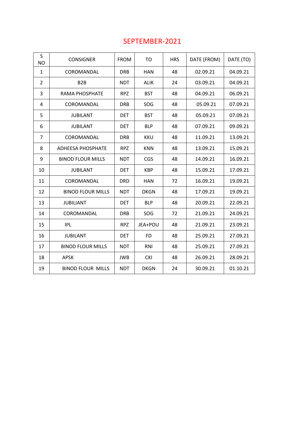#### SEPTEMBER-2021

| S<br><b>NO</b> | <b>CONSIGNER</b>         | <b>FROM</b> | TO          | <b>HRS</b> | DATE (FROM) | DATE (TO) |
|----------------|--------------------------|-------------|-------------|------------|-------------|-----------|
| 1              | COROMANDAL               | <b>DRB</b>  | <b>HAN</b>  | 48         | 02.09.21    | 04.09.21  |
| $\overline{2}$ | B <sub>2</sub> B         | <b>NDT</b>  | <b>ALIK</b> | 24         | 03.09.21    | 04.09.21  |
| 3              | <b>RAMA PHOSPHATE</b>    | <b>RPZ</b>  | <b>BST</b>  | 48         | 04.09.21    | 06.09.21  |
| 4              | COROMANDAL               | <b>DRB</b>  | SOG         | 48         | 05.09.21    | 07.09.21  |
| 5              | <b>JUBILANT</b>          | <b>DET</b>  | <b>BST</b>  | 48         | 05.09.21    | 07.09.21  |
| 6              | <b>JUBILANT</b>          | <b>DET</b>  | <b>BLP</b>  | 48         | 07.09.21    | 09.09.21  |
| $\overline{7}$ | COROMANDAL               | <b>DRB</b>  | <b>KKU</b>  | 48         | 11.09.21    | 13.09.21  |
| 8              | <b>ADHEESA PHOSPHATE</b> | <b>RPZ</b>  | <b>KNN</b>  | 48         | 13.09.21    | 15.09.21  |
| 9              | <b>BINOD FLOUR MILLS</b> | <b>NDT</b>  | <b>CGS</b>  | 48         | 14.09.21    | 16.09.21  |
| 10             | <b>JUBILANT</b>          | <b>DET</b>  | <b>KBP</b>  | 48         | 15.09.21    | 17.09.21  |
| 11             | COROMANDAL               | <b>DRD</b>  | <b>HAN</b>  | 72         | 16.09.21    | 19.09.21  |
| 12             | <b>BINOD FLOUR MILLS</b> | <b>NDT</b>  | <b>DKGN</b> | 48         | 17.09.21    | 19.09.21  |
| 13             | <b>JUBILIANT</b>         | <b>DET</b>  | <b>BLP</b>  | 48         | 20.09.21    | 22.09.21  |
| 14             | COROMANDAL               | <b>DRB</b>  | SOG         | 72         | 21.09.21    | 24.09.21  |
| 15             | <b>IPL</b>               | <b>RPZ</b>  | JEA+POU     | 48         | 21.09.21    | 23.09.21  |
| 16             | <b>JUBILANT</b>          | <b>DET</b>  | <b>FD</b>   | 48         | 25.09.21    | 27.09.21  |
| 17             | <b>BINOD FLOUR MILLS</b> | <b>NDT</b>  | RNI         | 48         | 25.09.21    | 27.09.21  |
| 18             | <b>APSK</b>              | <b>JWB</b>  | <b>CKI</b>  | 48         | 26.09.21    | 28.09.21  |
| 19             | <b>BINOD FLOUR MILLS</b> | <b>NDT</b>  | <b>DKGN</b> | 24         | 30.09.21    | 01.10.21  |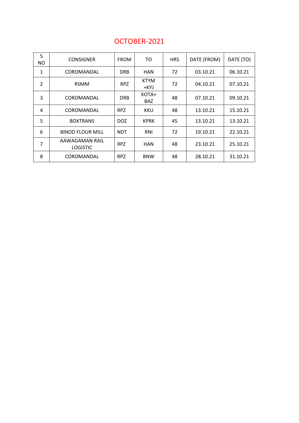| S<br>NO.       | <b>CONSIGNER</b>                  | <b>FROM</b> | TO                  | <b>HRS</b> | DATE (FROM) | DATE (TO) |
|----------------|-----------------------------------|-------------|---------------------|------------|-------------|-----------|
| 1              | COROMANDAL                        | <b>DRB</b>  | <b>HAN</b>          | 72         | 03.10.21    | 06.10.21  |
| $\overline{2}$ | <b>RSMM</b>                       | RPZ         | <b>KTYM</b><br>+KYJ | 72         | 04.10.21    | 07.10.21  |
| 3              | COROMANDAL                        | <b>DRB</b>  | KOTA+<br><b>BAZ</b> | 48         | 07.10.21    | 09.10.21  |
| 4              | COROMANDAL                        | RPZ         | KKU                 | 48         | 13.10.21    | 15.10.21  |
| 5              | <b>BOXTRANS</b>                   | DOZ.        | <b>KPRK</b>         | 45         | 13.10.21    | 13.10.21  |
| 6              | <b>BINOD FLOUR MILL</b>           | <b>NDT</b>  | RNI                 | 72         | 19.10.21    | 22.10.21  |
| 7              | AAWAGAMAN RAIL<br><b>LOGISTIC</b> | RPZ         | <b>HAN</b>          | 48         | 23.10.21    | 25.10.21  |
| 8              | COROMANDAL                        | RPZ         | <b>BNW</b>          | 48         | 28.10.21    | 31.10.21  |

#### OCTOBER-2021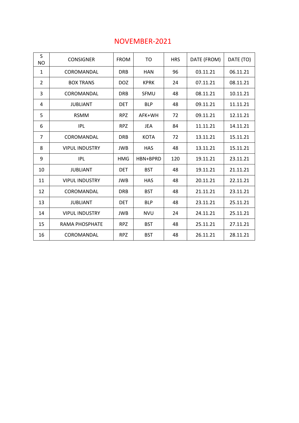| S<br><b>NO</b> | <b>CONSIGNER</b>      | <b>FROM</b> | TO          | <b>HRS</b> | DATE (FROM) | DATE (TO) |
|----------------|-----------------------|-------------|-------------|------------|-------------|-----------|
| 1              | COROMANDAL            | <b>DRB</b>  | <b>HAN</b>  | 96         | 03.11.21    | 06.11.21  |
| $\overline{2}$ | <b>BOX TRANS</b>      | <b>DOZ</b>  | <b>KPRK</b> | 24         | 07.11.21    | 08.11.21  |
| 3              | COROMANDAL            | <b>DRB</b>  | SFMU        | 48         | 08.11.21    | 10.11.21  |
| 4              | <b>JUBLIANT</b>       | <b>DET</b>  | <b>BLP</b>  | 48         | 09.11.21    | 11.11.21  |
| 5              | <b>RSMM</b>           | <b>RPZ</b>  | AFK+WH      | 72         | 09.11.21    | 12.11.21  |
| 6              | <b>IPL</b>            | <b>RPZ</b>  | JEA         | 84         | 11.11.21    | 14.11.21  |
| 7              | COROMANDAL            | <b>DRB</b>  | <b>KOTA</b> | 72         | 13.11.21    | 15.11.21  |
| 8              | <b>VIPUL INDUSTRY</b> | <b>JWB</b>  | <b>HAS</b>  | 48         | 13.11.21    | 15.11.21  |
| 9              | IPL                   | <b>HMG</b>  | HBN+BPRD    | 120        | 19.11.21    | 23.11.21  |
| 10             | <b>JUBLIANT</b>       | <b>DET</b>  | <b>BST</b>  | 48         | 19.11.21    | 21.11.21  |
| 11             | <b>VIPUL INDUSTRY</b> | <b>JWB</b>  | <b>HAS</b>  | 48         | 20.11.21    | 22.11.21  |
| 12             | COROMANDAL            | <b>DRB</b>  | <b>BST</b>  | 48         | 21.11.21    | 23.11.21  |
| 13             | <b>JUBLIANT</b>       | <b>DET</b>  | <b>BLP</b>  | 48         | 23.11.21    | 25.11.21  |
| 14             | <b>VIPUL INDUSTRY</b> | <b>JWB</b>  | <b>NVU</b>  | 24         | 24.11.21    | 25.11.21  |
| 15             | RAMA PHOSPHATE        | <b>RPZ</b>  | <b>BST</b>  | 48         | 25.11.21    | 27.11.21  |
| 16             | COROMANDAL            | <b>RPZ</b>  | <b>BST</b>  | 48         | 26.11.21    | 28.11.21  |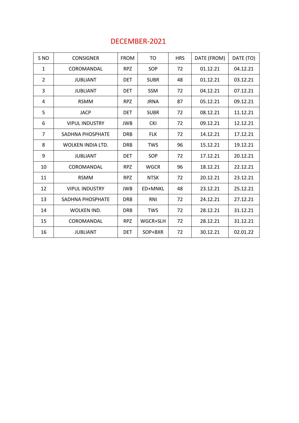#### DECEMBER-2021

| S NO           | <b>CONSIGNER</b>      | <b>FROM</b> | TO          | <b>HRS</b> | DATE (FROM) | DATE (TO) |
|----------------|-----------------------|-------------|-------------|------------|-------------|-----------|
| $\mathbf{1}$   | COROMANDAL            | <b>RPZ</b>  | <b>SOP</b>  | 72         | 01.12.21    | 04.12.21  |
| $\overline{2}$ | JUBLIANT              | <b>DET</b>  | <b>SUBR</b> | 48         | 01.12.21    | 03.12.21  |
| 3              | <b>JUBLIANT</b>       | <b>DET</b>  | SSM         | 72         | 04.12.21    | 07.12.21  |
| 4              | <b>RSMM</b>           | <b>RPZ</b>  | <b>JRNA</b> | 87         | 05.12.21    | 09.12.21  |
| 5              | <b>JACP</b>           | <b>DET</b>  | <b>SUBR</b> | 72         | 08.12.21    | 11.12.21  |
| 6              | <b>VIPUL INDUSTRY</b> | <b>JWB</b>  | <b>CKI</b>  | 72         | 09.12.21    | 12.12.21  |
| $\overline{7}$ | SADHNA PHOSPHATE      | <b>DRB</b>  | <b>FLK</b>  | 72         | 14.12.21    | 17.12.21  |
| 8              | WOLKEN INDIA LTD.     | <b>DRB</b>  | <b>TWS</b>  | 96         | 15.12.21    | 19.12.21  |
| 9              | <b>JUBLIANT</b>       | <b>DET</b>  | SOP         | 72         | 17.12.21    | 20.12.21  |
| 10             | COROMANDAL            | <b>RPZ</b>  | <b>WGCR</b> | 96         | 18.12.21    | 22.12.21  |
| 11             | <b>RSMM</b>           | <b>RPZ</b>  | <b>NTSK</b> | 72         | 20.12.21    | 23.12.21  |
| 12             | <b>VIPUL INDUSTRY</b> | <b>JWB</b>  | ED+MNKL     | 48         | 23.12.21    | 25.12.21  |
| 13             | SADHNA PHOSPHATE      | <b>DRB</b>  | <b>RNI</b>  | 72         | 24.12.21    | 27.12.21  |
| 14             | WOLKEN IND.           | <b>DRB</b>  | <b>TWS</b>  | 72         | 28.12.21    | 31.12.21  |
| 15             | COROMANDAL            | <b>RPZ</b>  | WGCR+SLH    | 72         | 28.12.21    | 31.12.21  |
| 16             | <b>JUBLIANT</b>       | <b>DET</b>  | SOP+BXR     | 72         | 30.12.21    | 02.01.22  |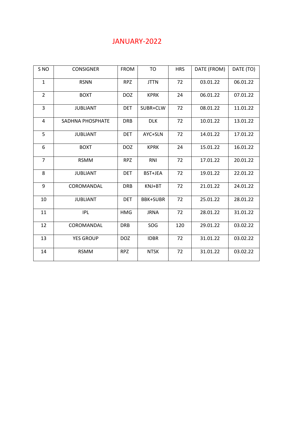#### JANUARY-2022

| S <sub>NO</sub> | <b>CONSIGNER</b> | <b>FROM</b> | T <sub>O</sub>  | <b>HRS</b> | DATE (FROM) | DATE (TO) |
|-----------------|------------------|-------------|-----------------|------------|-------------|-----------|
| $\mathbf 1$     | <b>RSNN</b>      | <b>RPZ</b>  | <b>JTTN</b>     | 72         | 03.01.22    | 06.01.22  |
| $\overline{2}$  | <b>BOXT</b>      | <b>DOZ</b>  | <b>KPRK</b>     | 24         | 06.01.22    | 07.01.22  |
| 3               | <b>JUBLIANT</b>  | <b>DET</b>  | SUBR+CLW        | 72         | 08.01.22    | 11.01.22  |
| 4               | SADHNA PHOSPHATE | <b>DRB</b>  | <b>DLK</b>      | 72         | 10.01.22    | 13.01.22  |
| 5               | <b>JUBLIANT</b>  | <b>DET</b>  | AYC+SLN         | 72         | 14.01.22    | 17.01.22  |
| 6               | <b>BOXT</b>      | <b>DOZ</b>  | <b>KPRK</b>     | 24         | 15.01.22    | 16.01.22  |
| $\overline{7}$  | <b>RSMM</b>      | <b>RPZ</b>  | <b>RNI</b>      | 72         | 17.01.22    | 20.01.22  |
| 8               | <b>JUBLIANT</b>  | <b>DET</b>  | BST+JEA         | 72         | 19.01.22    | 22.01.22  |
| 9               | COROMANDAL       | <b>DRB</b>  | KNJ+BT          | 72         | 21.01.22    | 24.01.22  |
| 10              | <b>JUBLIANT</b>  | <b>DET</b>  | <b>BBK+SUBR</b> | 72         | 25.01.22    | 28.01.22  |
| 11              | <b>IPL</b>       | <b>HMG</b>  | <b>JRNA</b>     | 72         | 28.01.22    | 31.01.22  |
| 12              | COROMANDAL       | <b>DRB</b>  | SOG             | 120        | 29.01.22    | 03.02.22  |
| 13              | <b>YES GROUP</b> | <b>DOZ</b>  | <b>IDBR</b>     | 72         | 31.01.22    | 03.02.22  |
| 14              | <b>RSMM</b>      | <b>RPZ</b>  | <b>NTSK</b>     | 72         | 31.01.22    | 03.02.22  |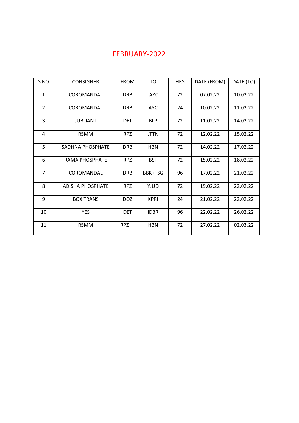### FEBRUARY-2022

| S <sub>NO</sub> | <b>CONSIGNER</b>        | <b>FROM</b> | <b>TO</b>   | <b>HRS</b> | DATE (FROM) | DATE (TO) |
|-----------------|-------------------------|-------------|-------------|------------|-------------|-----------|
| $\mathbf{1}$    | COROMANDAL              | <b>DRB</b>  | <b>AYC</b>  | 72         | 07.02.22    | 10.02.22  |
| $\overline{2}$  | COROMANDAL              | <b>DRB</b>  | <b>AYC</b>  | 24         | 10.02.22    | 11.02.22  |
| 3               | <b>JUBLIANT</b>         | <b>DET</b>  | <b>BLP</b>  | 72         | 11.02.22    | 14.02.22  |
| 4               | <b>RSMM</b>             | <b>RPZ</b>  | <b>JTTN</b> | 72         | 12.02.22    | 15.02.22  |
| 5               | SADHNA PHOSPHATE        | <b>DRB</b>  | <b>HBN</b>  | 72         | 14.02.22    | 17.02.22  |
| 6               | RAMA PHOSPHATE          | <b>RPZ</b>  | <b>BST</b>  | 72         | 15.02.22    | 18.02.22  |
| $\overline{7}$  | COROMANDAL              | <b>DRB</b>  | BBK+TSG     | 96         | 17.02.22    | 21.02.22  |
| 8               | <b>ADISHA PHOSPHATE</b> | <b>RPZ</b>  | YJUD        | 72         | 19.02.22    | 22.02.22  |
| 9               | <b>BOX TRANS</b>        | <b>DOZ</b>  | <b>KPRI</b> | 24         | 21.02.22    | 22.02.22  |
| 10              | <b>YES</b>              | <b>DET</b>  | <b>IDBR</b> | 96         | 22.02.22    | 26.02.22  |
| 11              | <b>RSMM</b>             | <b>RPZ</b>  | <b>HBN</b>  | 72         | 27.02.22    | 02.03.22  |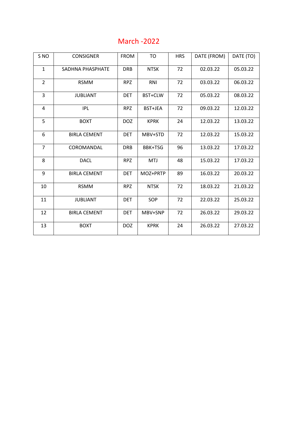### March -2022

| S <sub>NO</sub>  | <b>CONSIGNER</b>    | <b>FROM</b> | T <sub>O</sub> | <b>HRS</b> | DATE (FROM) | DATE (TO) |
|------------------|---------------------|-------------|----------------|------------|-------------|-----------|
| $\mathbf{1}$     | SADHNA PHASPHATE    | <b>DRB</b>  | <b>NTSK</b>    | 72         | 02.03.22    | 05.03.22  |
| $\overline{2}$   | <b>RSMM</b>         | <b>RPZ</b>  | RNI            | 72         | 03.03.22    | 06.03.22  |
| 3                | <b>JUBLIANT</b>     | <b>DET</b>  | BST+CLW        | 72         | 05.03.22    | 08.03.22  |
| 4                | <b>IPL</b>          | <b>RPZ</b>  | BST+JEA        | 72         | 09.03.22    | 12.03.22  |
| 5                | <b>BOXT</b>         | <b>DOZ</b>  | <b>KPRK</b>    | 24         | 12.03.22    | 13.03.22  |
| $\boldsymbol{6}$ | <b>BIRLA CEMENT</b> | <b>DET</b>  | MBV+STD        | 72         | 12.03.22    | 15.03.22  |
| $\overline{7}$   | COROMANDAL          | <b>DRB</b>  | BBK+TSG        | 96         | 13.03.22    | 17.03.22  |
| 8                | <b>DACL</b>         | <b>RPZ</b>  | <b>MTJ</b>     | 48         | 15.03.22    | 17.03.22  |
| 9                | <b>BIRLA CEMENT</b> | <b>DET</b>  | MOZ+PRTP       | 89         | 16.03.22    | 20.03.22  |
| 10               | <b>RSMM</b>         | <b>RPZ</b>  | <b>NTSK</b>    | 72         | 18.03.22    | 21.03.22  |
| 11               | <b>JUBLIANT</b>     | <b>DET</b>  | SOP            | 72         | 22.03.22    | 25.03.22  |
| 12               | <b>BIRLA CEMENT</b> | <b>DET</b>  | MBV+SNP        | 72         | 26.03.22    | 29.03.22  |
| 13               | <b>BOXT</b>         | <b>DOZ</b>  | <b>KPRK</b>    | 24         | 26.03.22    | 27.03.22  |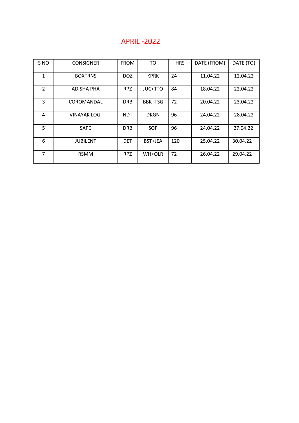#### APRIL -2022

| S <sub>NO</sub> | <b>CONSIGNER</b> | <b>FROM</b> | <b>TO</b>   | <b>HRS</b> | DATE (FROM) | DATE (TO) |
|-----------------|------------------|-------------|-------------|------------|-------------|-----------|
| $\mathbf{1}$    | <b>BOXTRNS</b>   | <b>DOZ</b>  | <b>KPRK</b> | 24         | 11.04.22    | 12.04.22  |
| $\overline{2}$  | ADISHA PHA       | <b>RPZ</b>  | JUC+TTO     | 84         | 18.04.22    | 22.04.22  |
| 3               | COROMANDAL       | <b>DRB</b>  | BBK+TSG     | 72         | 20.04.22    | 23.04.22  |
| 4               | VINAYAK LOG.     | <b>NDT</b>  | <b>DKGN</b> | 96         | 24.04.22    | 28.04.22  |
| 5               | <b>SAPC</b>      | <b>DRB</b>  | <b>SOP</b>  | 96         | 24.04.22    | 27.04.22  |
| 6               | <b>JUBILENT</b>  | <b>DET</b>  | BST+JEA     | 120        | 25.04.22    | 30.04.22  |
| 7               | <b>RSMM</b>      | <b>RPZ</b>  | WH+OLR      | 72         | 26.04.22    | 29.04.22  |